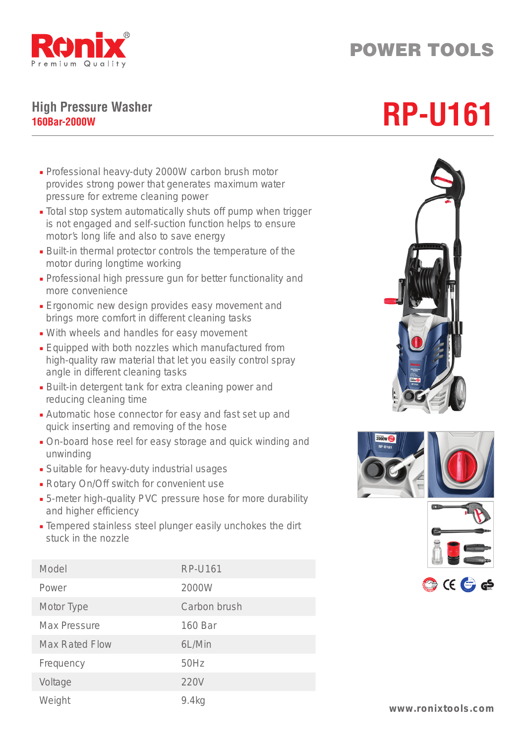

## POWER TOOLS

## **High Pressure Washer** High Pressure Washer<br>160Bar-2000W

- Professional heavy-duty 2000W carbon brush motor provides strong power that generates maximum water pressure for extreme cleaning power
- Total stop system automatically shuts off pump when trigger is not engaged and self-suction function helps to ensure motor's long life and also to save energy
- Built-in thermal protector controls the temperature of the motor during longtime working
- Professional high pressure gun for better functionality and more convenience
- Ergonomic new design provides easy movement and brings more comfort in different cleaning tasks
- With wheels and handles for easy movement
- Equipped with both nozzles which manufactured from high-quality raw material that let you easily control spray angle in different cleaning tasks
- Built-in detergent tank for extra cleaning power and reducing cleaning time
- Automatic hose connector for easy and fast set up and quick inserting and removing of the hose
- On-board hose reel for easy storage and quick winding and unwinding
- Suitable for heavy-duty industrial usages
- Rotary On/Off switch for convenient use
- 5-meter high-quality PVC pressure hose for more durability and higher efficiency
- Tempered stainless steel plunger easily unchokes the dirt stuck in the nozzle

| Model                 | <b>RP-U161</b> |
|-----------------------|----------------|
| Power                 | 2000W          |
| Motor Type            | Carbon brush   |
| Max Pressure          | 160 Bar        |
| <b>Max Rated Flow</b> | 6L/Min         |
| Frequency             | 50Hz           |
| Voltage               | 220V           |
| Weight                | 9.4kg          |